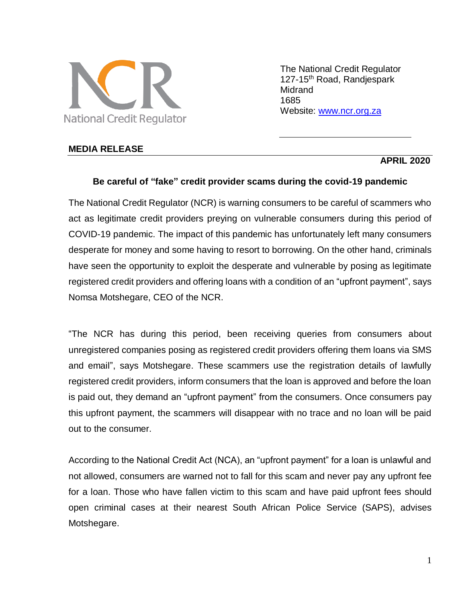

The National Credit Regulator 127-15<sup>th</sup> Road, Randjespark **Midrand** 1685 Website: [www.ncr.org.za](http://www.ncr.org.za/)

## **MEDIA RELEASE**

## **APRIL 2020**

## **Be careful of "fake" credit provider scams during the covid-19 pandemic**

The National Credit Regulator (NCR) is warning consumers to be careful of scammers who act as legitimate credit providers preying on vulnerable consumers during this period of COVID-19 pandemic. The impact of this pandemic has unfortunately left many consumers desperate for money and some having to resort to borrowing. On the other hand, criminals have seen the opportunity to exploit the desperate and vulnerable by posing as legitimate registered credit providers and offering loans with a condition of an "upfront payment", says Nomsa Motshegare, CEO of the NCR.

"The NCR has during this period, been receiving queries from consumers about unregistered companies posing as registered credit providers offering them loans via SMS and email", says Motshegare. These scammers use the registration details of lawfully registered credit providers, inform consumers that the loan is approved and before the loan is paid out, they demand an "upfront payment" from the consumers. Once consumers pay this upfront payment, the scammers will disappear with no trace and no loan will be paid out to the consumer.

According to the National Credit Act (NCA), an "upfront payment" for a loan is unlawful and not allowed, consumers are warned not to fall for this scam and never pay any upfront fee for a loan. Those who have fallen victim to this scam and have paid upfront fees should open criminal cases at their nearest South African Police Service (SAPS), advises Motshegare.